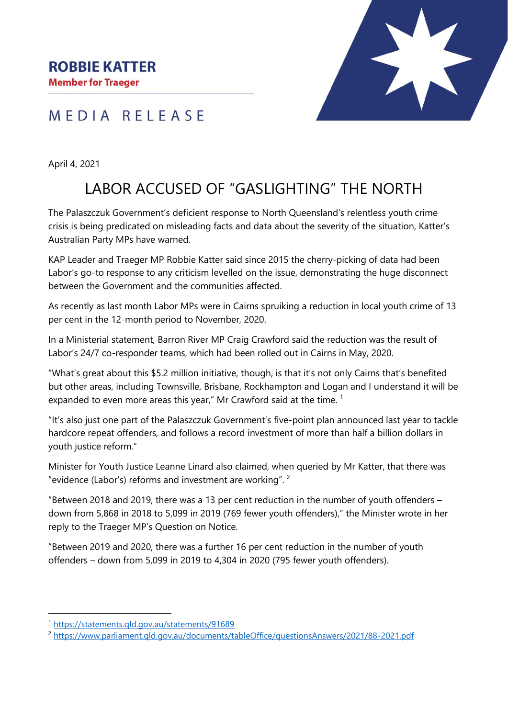### MEDIA RELEASE

April 4, 2021

# LABOR ACCUSED OF "GASLIGHTING" THE NORTH

The Palaszczuk Government's deficient response to North Queensland's relentless youth crime crisis is being predicated on misleading facts and data about the severity of the situation, Katter's Australian Party MPs have warned.

KAP Leader and Traeger MP Robbie Katter said since 2015 the cherry-picking of data had been Labor's go-to response to any criticism levelled on the issue, demonstrating the huge disconnect between the Government and the communities affected.

As recently as last month Labor MPs were in Cairns spruiking a reduction in local youth crime of 13 per cent in the 12-month period to November, 2020.

In a Ministerial statement, Barron River MP Craig Crawford said the reduction was the result of Labor's 24/7 co-responder teams, which had been rolled out in Cairns in May, 2020.

"What's great about this \$5.2 million initiative, though, is that it's not only Cairns that's benefited but other areas, including Townsville, Brisbane, Rockhampton and Logan and I understand it will be expanded to even more areas this year," Mr Crawford said at the time.<sup>1</sup>

"It's also just one part of the Palaszczuk Government's five-point plan announced last year to tackle hardcore repeat offenders, and follows a record investment of more than half a billion dollars in youth justice reform."

Minister for Youth Justice Leanne Linard also claimed, when queried by Mr Katter, that there was "evidence (Labor's) reforms and investment are working".  $2$ 

"Between 2018 and 2019, there was a 13 per cent reduction in the number of youth offenders – down from 5,868 in 2018 to 5,099 in 2019 (769 fewer youth offenders)," the Minister wrote in her reply to the Traeger MP's Question on Notice.

"Between 2019 and 2020, there was a further 16 per cent reduction in the number of youth offenders – down from 5,099 in 2019 to 4,304 in 2020 (795 fewer youth offenders).

<sup>1</sup> <https://statements.qld.gov.au/statements/91689>

<sup>2</sup> <https://www.parliament.qld.gov.au/documents/tableOffice/questionsAnswers/2021/88-2021.pdf>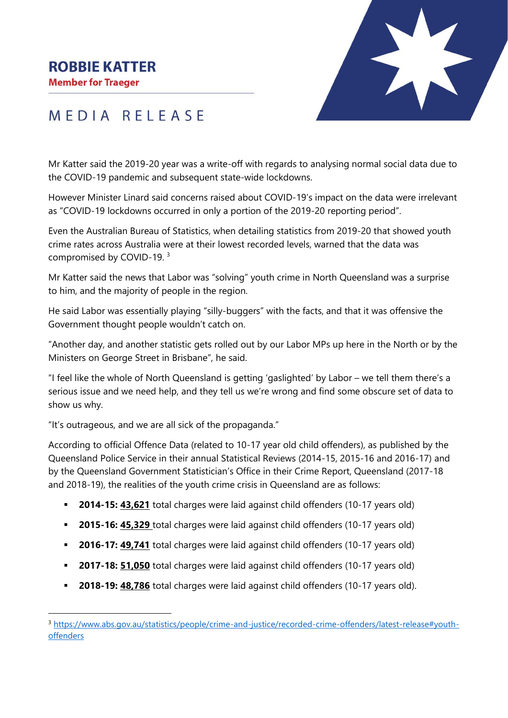#### **ROBBIE KATTER**

**Member for Traeger** 



## MEDIA RELEASE

Mr Katter said the 2019-20 year was a write-off with regards to analysing normal social data due to the COVID-19 pandemic and subsequent state-wide lockdowns.

However Minister Linard said concerns raised about COVID-19's impact on the data were irrelevant as "COVID-19 lockdowns occurred in only a portion of the 2019-20 reporting period".

Even the Australian Bureau of Statistics, when detailing statistics from 2019-20 that showed youth crime rates across Australia were at their lowest recorded levels, warned that the data was compromised by COVID-19. <sup>3</sup>

Mr Katter said the news that Labor was "solving" youth crime in North Queensland was a surprise to him, and the majority of people in the region.

He said Labor was essentially playing "silly-buggers" with the facts, and that it was offensive the Government thought people wouldn't catch on.

"Another day, and another statistic gets rolled out by our Labor MPs up here in the North or by the Ministers on George Street in Brisbane", he said.

"I feel like the whole of North Queensland is getting 'gaslighted' by Labor – we tell them there's a serious issue and we need help, and they tell us we're wrong and find some obscure set of data to show us why.

"It's outrageous, and we are all sick of the propaganda."

According to official Offence Data (related to 10-17 year old child offenders), as published by the Queensland Police Service in their annual Statistical Reviews (2014-15, 2015-16 and 2016-17) and by the Queensland Government Statistician's Office in their Crime Report, Queensland (2017-18 and 2018-19), the realities of the youth crime crisis in Queensland are as follows:

- **2014-15: 43,621** total charges were laid against child offenders (10-17 years old)
- **2015-16: 45,329** total charges were laid against child offenders (10-17 years old)
- **2016-17: 49,741** total charges were laid against child offenders (10-17 years old)
- **2017-18: 51,050** total charges were laid against child offenders (10-17 vears old)
- **2018-19: 48,786** total charges were laid against child offenders (10-17 years old).

<sup>3</sup> [https://www.abs.gov.au/statistics/people/crime-and-justice/recorded-crime-offenders/latest-release#youth](https://www.abs.gov.au/statistics/people/crime-and-justice/recorded-crime-offenders/latest-release#youth-offenders)[offenders](https://www.abs.gov.au/statistics/people/crime-and-justice/recorded-crime-offenders/latest-release#youth-offenders)